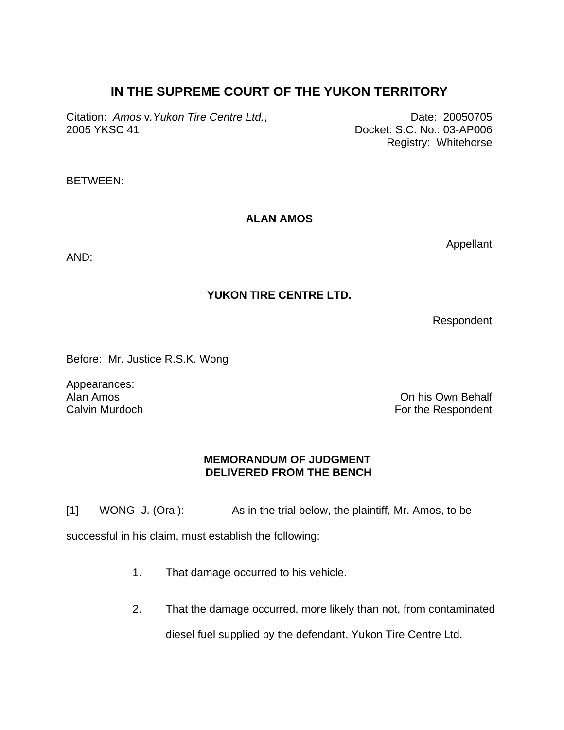## **IN THE SUPREME COURT OF THE YUKON TERRITORY**

Citation: *Amos v.Yukon Tire Centre Ltd.*, Discriming Date: 20050705 2005 YKSC 41 Docket: S.C. No.: 03-AP006

Registry: Whitehorse

BETWEEN:

## **ALAN AMOS**

AND:

## **YUKON TIRE CENTRE LTD.**

Respondent

Appellant

Before: Mr. Justice R.S.K. Wong

Appearances: Alan Amos Calvin Murdoch

On his Own Behalf For the Respondent

## **MEMORANDUM OF JUDGMENT DELIVERED FROM THE BENCH**

[1] WONG J. (Oral): As in the trial below, the plaintiff, Mr. Amos, to be

successful in his claim, must establish the following:

- 1. That damage occurred to his vehicle.
- 2. That the damage occurred, more likely than not, from contaminated diesel fuel supplied by the defendant, Yukon Tire Centre Ltd.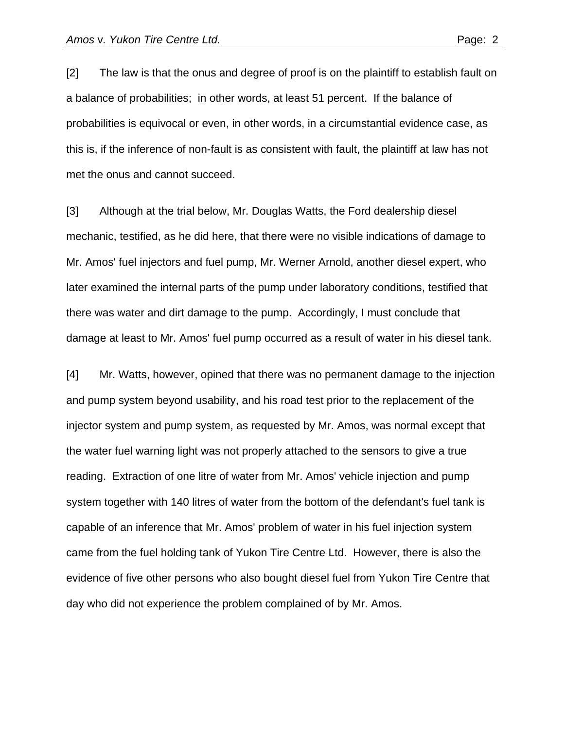[2] The law is that the onus and degree of proof is on the plaintiff to establish fault on a balance of probabilities; in other words, at least 51 percent. If the balance of probabilities is equivocal or even, in other words, in a circumstantial evidence case, as this is, if the inference of non-fault is as consistent with fault, the plaintiff at law has not met the onus and cannot succeed.

[3] Although at the trial below, Mr. Douglas Watts, the Ford dealership diesel mechanic, testified, as he did here, that there were no visible indications of damage to Mr. Amos' fuel injectors and fuel pump, Mr. Werner Arnold, another diesel expert, who later examined the internal parts of the pump under laboratory conditions, testified that there was water and dirt damage to the pump. Accordingly, I must conclude that damage at least to Mr. Amos' fuel pump occurred as a result of water in his diesel tank.

[4] Mr. Watts, however, opined that there was no permanent damage to the injection and pump system beyond usability, and his road test prior to the replacement of the injector system and pump system, as requested by Mr. Amos, was normal except that the water fuel warning light was not properly attached to the sensors to give a true reading. Extraction of one litre of water from Mr. Amos' vehicle injection and pump system together with 140 litres of water from the bottom of the defendant's fuel tank is capable of an inference that Mr. Amos' problem of water in his fuel injection system came from the fuel holding tank of Yukon Tire Centre Ltd. However, there is also the evidence of five other persons who also bought diesel fuel from Yukon Tire Centre that day who did not experience the problem complained of by Mr. Amos.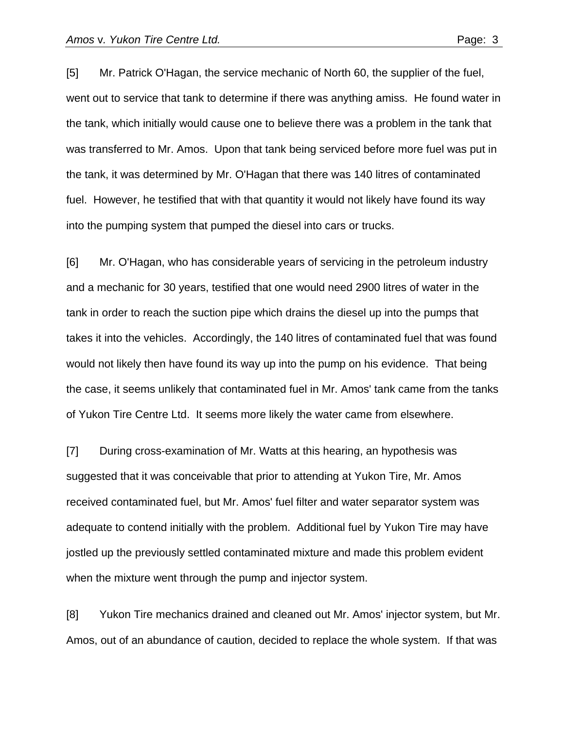[5] Mr. Patrick O'Hagan, the service mechanic of North 60, the supplier of the fuel, went out to service that tank to determine if there was anything amiss. He found water in the tank, which initially would cause one to believe there was a problem in the tank that was transferred to Mr. Amos. Upon that tank being serviced before more fuel was put in the tank, it was determined by Mr. O'Hagan that there was 140 litres of contaminated fuel. However, he testified that with that quantity it would not likely have found its way into the pumping system that pumped the diesel into cars or trucks.

[6] Mr. O'Hagan, who has considerable years of servicing in the petroleum industry and a mechanic for 30 years, testified that one would need 2900 litres of water in the tank in order to reach the suction pipe which drains the diesel up into the pumps that takes it into the vehicles. Accordingly, the 140 litres of contaminated fuel that was found would not likely then have found its way up into the pump on his evidence. That being the case, it seems unlikely that contaminated fuel in Mr. Amos' tank came from the tanks of Yukon Tire Centre Ltd. It seems more likely the water came from elsewhere.

[7] During cross-examination of Mr. Watts at this hearing, an hypothesis was suggested that it was conceivable that prior to attending at Yukon Tire, Mr. Amos received contaminated fuel, but Mr. Amos' fuel filter and water separator system was adequate to contend initially with the problem. Additional fuel by Yukon Tire may have jostled up the previously settled contaminated mixture and made this problem evident when the mixture went through the pump and injector system.

[8] Yukon Tire mechanics drained and cleaned out Mr. Amos' injector system, but Mr. Amos, out of an abundance of caution, decided to replace the whole system. If that was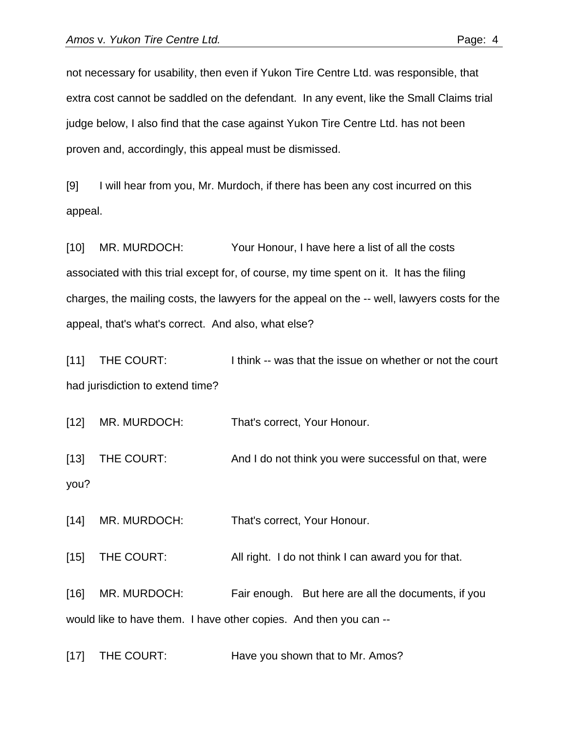not necessary for usability, then even if Yukon Tire Centre Ltd. was responsible, that extra cost cannot be saddled on the defendant. In any event, like the Small Claims trial judge below, I also find that the case against Yukon Tire Centre Ltd. has not been proven and, accordingly, this appeal must be dismissed.

[9] I will hear from you, Mr. Murdoch, if there has been any cost incurred on this appeal.

[10] MR. MURDOCH: Your Honour, I have here a list of all the costs associated with this trial except for, of course, my time spent on it. It has the filing charges, the mailing costs, the lawyers for the appeal on the -- well, lawyers costs for the appeal, that's what's correct. And also, what else?

[11] THE COURT: I think -- was that the issue on whether or not the court had jurisdiction to extend time?

[12] MR. MURDOCH: That's correct, Your Honour.

[13] THE COURT: And I do not think you were successful on that, were you?

[14] MR. MURDOCH: That's correct, Your Honour.

[15] THE COURT: All right. I do not think I can award you for that.

[16] MR. MURDOCH: Fair enough. But here are all the documents, if you would like to have them. I have other copies. And then you can --

[17] THE COURT: Have you shown that to Mr. Amos?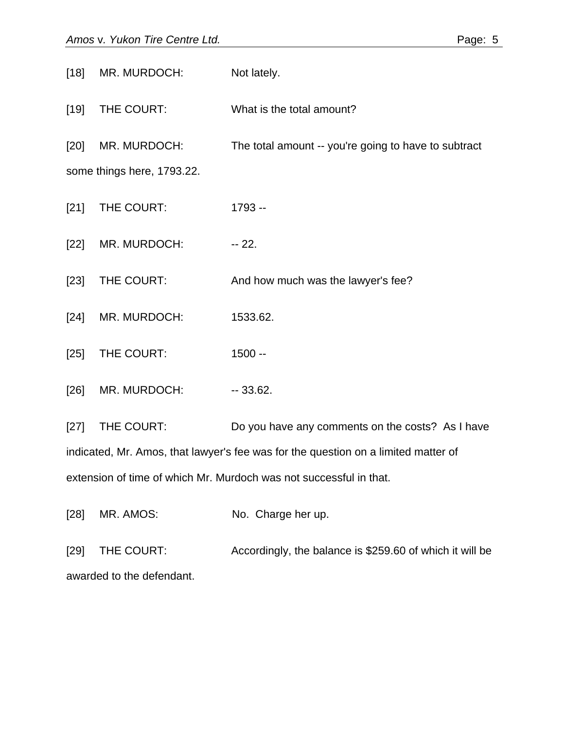[18] MR. MURDOCH: Not lately. [19] THE COURT: What is the total amount? [20] MR. MURDOCH: The total amount -- you're going to have to subtract some things here, 1793.22. [21] THE COURT: 1793 --[22] MR. MURDOCH: -- 22. [23] THE COURT: And how much was the lawyer's fee? [24] MR. MURDOCH: 1533.62. [25] THE COURT: 1500 --[26] MR. MURDOCH: -- 33.62. [27] THE COURT: Do you have any comments on the costs? As I have indicated, Mr. Amos, that lawyer's fee was for the question on a limited matter of extension of time of which Mr. Murdoch was not successful in that.

[28] MR. AMOS: No. Charge her up.

[29] THE COURT: Accordingly, the balance is \$259.60 of which it will be awarded to the defendant.